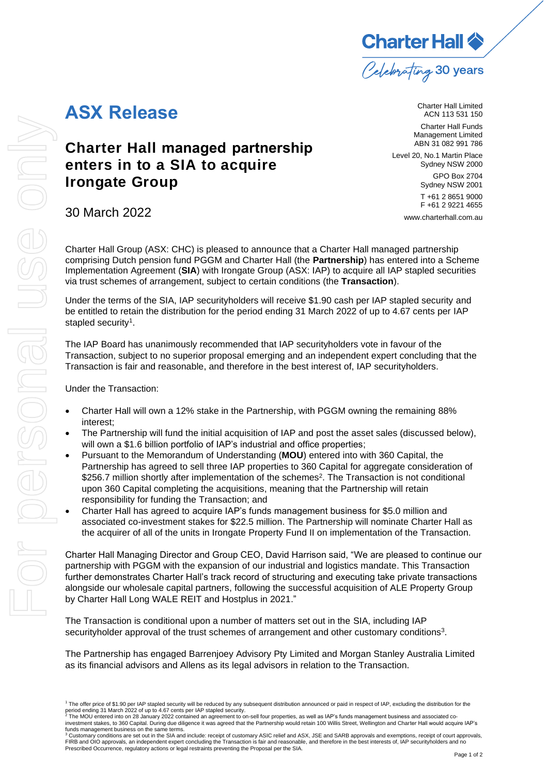

Charter Hall Limited ACN 113 531 150

Charter Hall Funds Management Limited ABN 31 082 991 786

**Charter Hall managed partnership enters in to a SIA to acquire Irongate Group** 

Level 20, No.1 Martin Place Sydney NSW 2000 GPO Box 2704 Sydney NSW 2001 T +61 2 8651 9000 F +61 2 9221 4655 [www.charterhall.com.au](https://www.charterhall.com.au/)

30 March 2022

**ASX Release**

Charter Hall Group (ASX: CHC) is pleased to announce that a Charter Hall managed partnership comprising Dutch pension fund PGGM and Charter Hall (the **Partnership**) has entered into a Scheme Implementation Agreement (**SIA**) with Irongate Group (ASX: IAP) to acquire all IAP stapled securities via trust schemes of arrangement, subject to certain conditions (the **Transaction**).

Under the terms of the SIA, IAP securityholders will receive \$1.90 cash per IAP stapled security and be entitled to retain the distribution for the period ending 31 March 2022 of up to 4.67 cents per IAP stapled security<sup>1</sup>.

The IAP Board has unanimously recommended that IAP securityholders vote in favour of the Transaction, subject to no superior proposal emerging and an independent expert concluding that the Transaction is fair and reasonable, and therefore in the best interest of, IAP securityholders.

Under the Transaction:

- Charter Hall will own a 12% stake in the Partnership, with PGGM owning the remaining 88% interest;
- The Partnership will fund the initial acquisition of IAP and post the asset sales (discussed below), will own a \$1.6 billion portfolio of IAP's industrial and office properties;
- Pursuant to the Memorandum of Understanding (**MOU**) entered into with 360 Capital, the Partnership has agreed to sell three IAP properties to 360 Capital for aggregate consideration of \$256.7 million shortly after implementation of the schemes<sup>2</sup>. The Transaction is not conditional upon 360 Capital completing the acquisitions, meaning that the Partnership will retain responsibility for funding the Transaction; and
- Charter Hall has agreed to acquire IAP's funds management business for \$5.0 million and associated co-investment stakes for \$22.5 million. The Partnership will nominate Charter Hall as the acquirer of all of the units in Irongate Property Fund II on implementation of the Transaction.

Charter Hall Managing Director and Group CEO, David Harrison said, "We are pleased to continue our partnership with PGGM with the expansion of our industrial and logistics mandate. This Transaction further demonstrates Charter Hall's track record of structuring and executing take private transactions alongside our wholesale capital partners, following the successful acquisition of ALE Property Group by Charter Hall Long WALE REIT and Hostplus in 2021."

The Transaction is conditional upon a number of matters set out in the SIA, including IAP securityholder approval of the trust schemes of arrangement and other customary conditions<sup>3</sup>.

The Partnership has engaged Barrenjoey Advisory Pty Limited and Morgan Stanley Australia Limited as its financial advisors and Allens as its legal advisors in relation to the Transaction.

funds management business on the same terms.<br><sup>3</sup> Customary conditions are set out in the SIA and include: receipt of customary ASIC relief and ASX, JSE and SARB approvals and exemptions, receipt of court approvals, FIRB and OIO approvals, an independent expert concluding the Transaction is fair and reasonable, and therefore in the best interests of, IAP securityholders and no Prescribed Occurrence, regulatory actions or legal restraints preventing the Proposal per the SIA.

<sup>&</sup>lt;sup>1</sup> The offer price of \$1.90 per IAP stapled security will be reduced by any subsequent distribution announced or paid in respect of IAP, excluding the distribution for the<br>period ending 31 March 2022 of up to 4.67 cents

investment stakes, to 360 Capital. During due diligence it was agreed that the Partnership would retain 100 Willis Street, Wellington and Charter Hall would acquire IAP's